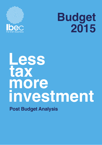

# **Budget 2015**

# **tax Less investment more Post Budget Analysis**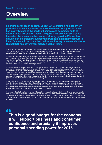### **Overview**

**Following seven tough budgets, Budget 2015 contains a number of very positive measures for job creators and the wider economy. Government has clearly listened to the needs of business and delivered a suite of reforms which will support growth and jobs. It is also important that at a time when the international economy is slowing again the Minister has delivered an expansionary budget which will help maintain momentum in Ireland's economic recovery. Ibec had set out five key recommendations for Budget 2015 and government acted on each of them.** 

This is a good budget for the economy. It will support business and consumer confidence and crucially it improves personal spending power for 2015. Given the recent improvements in GDP, Government was right to abandon austerity and to focus on the central objective of getting the deficit comfortably below the 3% mark.

The income tax reform package is a major positive. This has been one of the central planks of Ibec's *An Ireland that works campaign*. The higher rate cut and band increases are well targeted at the labour market and will help the incentive to work. The major disappointment on the income tax front is the continued discriminatory tax treatment of the self-employed. We are delighted to see the abolition of the pension levy. This was a grossly unfair tax on the assets of savers and its abolition was long overdue.

The international tax package was one of the major positives of Budget 2015. The Minister took on board the concerns of business and achieved an appropriate balance between reform and enhancement. The changes to the residency rules had been well flagged in the run-up to the budget but it was positive to see a sensible transition period provided. The enhancements to the IP regime, including the introduction of a new and exciting knowledge development box, the R&D tax credit and the special assignee relief programme are all to be applauded. This package will help make Ireland a more attractive location for mobile investment and crucially it removes the recent growing uncertainty in relation to the corporation tax regime.

There are positives for indigenous business in the form of improvements to the Employment Investment and Incentive Scheme (EIIS) and the Seed Capital Scheme. There is a modest improvement in the 2015 Exchequer capital investment budget and we will see further details on the medium-term infrastructure investment plans over the coming weeks. Minister Howlin stressed the importance of putting more private finance to work for investment and we are likely to see further commitments on new PPP projects.

In summary, Ibec believes that Government has delivered a sensible budget. It will be positive for jobs and growth and will help us push on with the recovery momentum in 2015. Government has started the process of income tax reform and has already addressed those areas in which we were most out of line with our competitors. The outcome on international tax is very positive in terms of the package enhancements and it restores much needed certainty to the regime.

<u>"</u>

**This is a good budget for the economy. It will support business and consumer confidence and crucially it improves personal spending power for 2015.**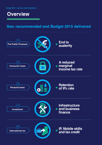### **Overview**

### **Ibec recommended and Budget 2015 delivered**

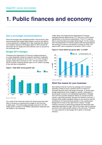### **1. Public finances and economy**

#### **Ibec's pre-budget recommendations:**

Given the stronger than expected growth in the economy, Ibec recommended that budget deficit targets could be met without a fiscal adjustment in Budget 2015. Ibec expected that without any austerity measures the Budget deficit in 2015 should fall well under the 3% target and with sufficient room to account for any downside risks.

#### **Budget 2014 changes:**

Underlying the Department of Finance's budget projections is a more optimistic outlook for Ireland's economy. It adjusted its GDP growth forecast for 2015 from 2.7% to 3.9% though it remains under Ibec's forecast of 4.5%. For the medium-term (2016 to 2018) it expects growth rates of 3.4% which is broadly in line with Ibec's projections.



**Figure 1: Real GDP, annual growth rate** 

*Source: DOF, Ibec*

As a result of the improved outlook the Government has been able to introduce an expansionary budget for the first time in eight years. The total budget package amounts to €1,050 million which consists of net €630m expenditure measures and net €420m in tax measures.

Under these circumstances the Department of Finance estimates that the deficit will be  $2.7\%$  (€5.3 bn) in 2015 down significantly on its previous expectations. The 2.7% matches Ibec's recommended pre-budget deficit target. For the mediumterm the Department of Finance expects that the fiscal balance will continue to improve and achieve a surplus by 2018. The debt-to-GDP ratio is expected to fall below 100% in 2018.

#### **Figure 2: Fiscal deficit and gross debt, % of GDP**



*Source: DOF, Ibec.*

#### **What this means for your business:**

Ibec believes that the income tax package and increased spending is likely to have a positive short-run impact on domestic demand which will support business. In recent years budget adjustments have dragged on growth, particularly in the domestic economy; the substantial adjustment in Budget 2015 will have positive feedback effects on overall economic activity, supporting domestic demand and Ireland's recovery. It will also have positive feedback effects on tax revenue and will contribute to an improved fiscal position in the coming years. Budget 2015 comes at the right time for Ireland. Though Ireland's economy is performing positively the downside risks especially externally are high. One of the major risks to Ireland's recovery is the weak growth outlook in the eurozone. Therefore it is very welcome to see Budget 2015 deliver a domestic stimulus.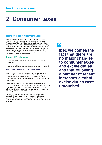## **2. Consumer taxes**

#### **Ibec's pre-budget recommendations:**

Ibec warned that increases in VAT or excise rates or any broadening of their base would hurt domestic consumption. The success of the 9% VAT regime for tourism showed that targeted reductions in taxation can be positive for the economy and the Exchequer. Therefore, Ibec recommended that the 9% VAT rate for the tourism sector should be retained and recent excise rates on alcohol reduced. Ibec also suggested that excise on oil should be collected on a duty deferment basis in line with the collection of carbon tax.

#### **Budget 2014 changes:**

- Excise duty on tobacco products will increase by 40 cents equivalent
- Introduction of 30 day deferral of excise payment on mineral oil

#### **What this means for your business:**

Ibec welcomes the fact that there are no major changes to consumer taxes and excise duties and that following a number of recent increases alcohol excise duties were untouched. This is important as it does not put an additional tax burden on consumers.

The retention of the 9% VAT rate for the tourism sector is positive. Tourism in Ireland continues to be a major and growing economic sector with overseas visitors spending over €3.2 billion p.a. Keeping this measure supports employment in the hospitality and broader tourism sector.

Excise on oil will be collected on a 30-day duty deferment basis which improves the security of supply, reduces the administrative burden on the state, and mitigates the unsustainable burden on the oil industry and hence on the wider economy.

### "

**Ibec welcomes the fact that there are no major changes to consumer taxes and excise duties and that following a number of recent increases alcohol excise duties were untouched.**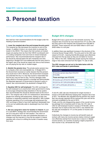## **3. Personal taxation**

#### **Ibec's pre-budget recommendations:**

Ibec had four main recommendations for the budget under the heading of personal taxation:

**1. Lower the marginal rate of tax and increase the entry point:**  The marginal tax rate decreases the incentive to work at the margin. In addition it kicks in at a level which is amongst the lowest in the OECD. This means that Irish workers at modest wages are paying more tax than their OECD counterparts and it is costing companies more and more to reward employee performance. Ibec recommended that the marginal rate of tax should be reduced below the 50% threshold over time, beginning in Budget 2015 and additionally that the entry point to the higher rate of tax should be raised over time so that workers are not paying the top rate on modest wages.

**2. Abolish the pension levy:** The private-sector pension levy is a uniquely unfair and unacceptable tax. In Budget 2014, the Government reversed an earlier decision that the pension levy would end in 2014. Moreover, the Government increased and extended the levy in a way that caused a reasonable fear that the levy may be here to stay. The levy damages wider policy efforts to increase pension's coverage and demonstrates the disjointed approach of Government to pension's policy in Ireland. Ibec recommended it be abolished in Budget 2015.

**3. Equalise USC for self-employed:** The USC surcharge for the self-employed is an anachronism when government is trying to encourage entrepreneurship elsewhere in the tax system. Ibec recommended this should be allowed expire at the end of 2014. The marginal rate of 55% for entrepreneurs' disincentives people from entering self-employment, starting up their own business or expanding relatively small operations. With multiple schemes operating to try to encourage self-employment this USC surcharge is likely to have both significant deadweight loss on its own but additionally adds to deadweight loss from other schemes.

**4. Set out a long-term vision for taxation in Ireland:** As part of a 'post-BEPs' strategy Ibec recommended the Government set out a long term vision for Irish taxation. This vision on taxation should allow for clear and substantial discussion on changes over the long-term in how the tax system in Ireland operates with a focus on shifting the burden of taxation away from work.

#### **Budget 2015 changes:**

Budget 2015 was a good one for the domestic economy. The marginal rate of income tax was reduced from 41% to 40% with the entry point to the marginal rate increased from €32,800 to €33,800. These measures will cost €292 million in 2015 and €405 million in a full year.

In addition there was significant increase in the structure of the Universal Social Charge (USC). The entry point to the USC was raised to €12,021, meaning that 80,000 people were effectively removed from the tax base as they are not liable for income tax, PRSI or the USC. Additionally people earning the minimum wage or less were removed from the higher 7% rate of USC.

**The USC changes are set out in the table below with the 2014 rates and bands in parentheses.**

| Income band                                         | Rate         |
|-----------------------------------------------------|--------------|
| All income earners less than $£12,012$<br>(E10,036) | 0%           |
| Those earnings over €12,012                         |              |
| All income up to €12,012 (€10,036)                  | $1.5\%$ (2%) |
| €12,013 to €17,576 (€10,036 to €16,016)             | $3.5\%$ (4%) |
| €17, 577 to €70,044 (€16,016 +)                     | $7\%$ (7%)   |
| €70,044 +                                           | $8\%$ (7%)   |

A new 8% USC rate was introduced for single incomes in excess of €70,000 effectively keeping their marginal rate of tax at 52%. The Minister also signalled that the pension levy which Ibec has strongly opposed will be reduced this year and will be removed completely by the end of 2015.

Finally, and the only disappointing aspect of the overall income tax package from a business point of view, the 10% rate of USC for self-employed income in excess of €100,000, which had been due to expire at the end of 2014, was retained and the rate was increased to 11% on the portion of income over €100,000.

Collectively the changes to income tax will benefit nearly all workers with many low income earners (below minimum wage) now effectively exempt from income tax or close to it. Middleincome earners, as a function of paying a higher proportion of their income in tax, will benefit the most.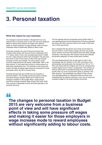# **3. Personal taxation**

#### **What this means for your business:**

The changes to personal taxation in Budget 2015 are very welcome from a business point of view and will have significant effects in taking some pressure off wages and making it easier for those employers in wage increase mode to reward employees without significantly adding to labour costs.

During the recession the cost of living environment has remained fairly benign with the price level in September 2014 1.7% below where it was in the corresponding month in 2008. As such, wage pressures which have emerged in the past year have done so due to the erosion of take-home pay through increases in taxes and charges. For some sectors of the economy these pressures are simply unaffordable. GDP is still down almost 7% from peak with turnover in some sectors e.g. retail down significantly more. The reduction in the income tax burden will ease emerging wage pressures somewhat for those businesses which are still in survival mode.

Domestic demand will also benefit from the reduction in personal taxation. The average married two-earner working household will gain between €500 and €1,000 from the changes to taxation in this budget while a single person around the average industrial wage will gain just under €400. This increase in disposable income will boost spending in the domestic economy.

The tax package will give households almost €500 million in new spending power and the Department of Finance estimates that along with other structural reforms will create 15,000 jobs over a three year period.

Ibec is pleased that the pension levy will be wound down by the end of 2015. In 2014 these charges will have cost private sector workers more than the property taxes and water charges combined. In the long-term this measure would have affected the pension adequacy of many private sector workers.

The only disappointment from an Ibec point of view in the tax package was the retention of the USC surcharge on the self-employed and particularly the increase from 10% to 11%. This now means that the marginal rate of tax for entrepreneurs remains higher than for those in employment. This remains an obvious disincentive to entrepreneurship and small business growth when so much of government policy is pointing in the other direction. The deadweight loss effects of this in terms of its damaging effects on entrepreneurship are likely to be substantial and its retention will leave a sour note on what was a positive budget for the small business community.

### "

**The changes to personal taxation in Budget 2015 are very welcome from a business point of view and will have significant effects in taking some pressure off wages and making it easier for those employers in wage increase mode to reward employees without significantly adding to labour costs.**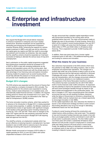### **4. Enterprise and infrastructure investment**

#### **Ibec's pre-budget recommendations:**

Ibec argued that Budget 2015 should deliver measures to enhance investment in enterprise and much needed infrastructure. Business investment can be supported by rebranding and enhancing the Employment Investment Incentive Scheme (EIIS), enhancing tax supports for venture capital investment in SME's and start-ups and by reforming the capital gains tax regime and R&D tax credit to encourage reinvestment and innovation by enterprise. Ibec also argued that the JobsPlus scheme should be expanded as it had been successful at helping to alleviate the serious issue of long term unemployment.

Ibec's submission on the public capital programme suggested that infrastructure investment should be increased to 4% of GDP by 2020 to deal with emerging bottlenecks as the economy and population grows over the coming years. Ibec argues that Government should work with the private sector to take advantage of low financing costs and explore innovative financing models for projects such as social housing which would help alleviate the pressure on house prices in key areas and provide much needed jobs and homes.

#### **Budget 2014 changes:**

The EIIS scheme was expanded and the amount of finance that can be raised by a company increased to €5m annually. The qualifying sectors for the scheme were expanded to nursing homes, medium-sized enterprises in non-assisted areas, and internationally traded financial services. In addition, the required holding period for shares was increased from 3 to 4 years. The Seed-Capital scheme is also to be rebranded to the 'Start-up relief for entrepreneurs' (SURE) scheme.

The home renovation incentive scheme, which Ibec pushed for in advance of its introduction in Budget 2014, is being expanded to include rental properties. In addition, the Minister undertook a comprehensive review of agri-taxation with significant changes to the taxation of the agriculture sector including measures on income tax, CGT, CAT and VAT. There were no changes to the wider CGT regime with the rate remaining untouched and the entrepreneur's relief announced in Budget 2014 still requiring state aid approval from the EU.

The JobsPlus scheme, an employment subsidy which has proven effective at reducing long-term unemployment, has been doubled in size to 6,000 which is welcome due to the serious challenge remaining with long-term unemployment.

Minister Howlin announced an increase of €210 million in capital spending for 2015, to over €3.5 billion with further unspecified increases in 2016 and 2017.

He also announced that a detailed capital expenditure review with Government priorities for the coming years will be published before year-end. The major announcement made on Budget day was on the provision of social housing. Some €2.2 billion will be invested in social housing between now and 2017 of which €1.5 billion will come from the Exchequer, a further €300 million in PPPs and €400 million in off-balance sheet financing. This is expected to provide 10,000 housing units before 2018.

In addition, there was good news from a human capital investment point of view with 1,700 additional teaching posts and funding for science and innovation.

#### **What this means for your business:**

Ibec welcomes improvements to the EIIS scheme which have the potential to help SME's find willing investors, take on extra employees and expand their operations. The changes are a positive step while use of the scheme is likely to pick-up as the economy improves and the high-earners restriction is removed. Challenges still remain, however, with the scheme's branding and risk characteristics, with the changes announced unlikely to make the scheme attractive to non-traditional investors. The expansion of the Home Renovation Incentive is welcome. This scheme has been successful thus far with €190 million worth of works financed under 3,000 contractors. Its expansion has the potential to improve the standard of rental stock but also will have some Exchequer benefits through its impact on the black market and employment in the construction sector. The lack of changes in CGT were unsurprising given that changes announced last year are still awaiting European clearance, while the failure of Government to introduce a streamlined tax credit for SMEs must be marked down as a missed opportunity to encourage innovation in Irish SMEs.

On the capital expenditure side, Ibec welcomes the intention to launch a new infrastructure strategy but there is some concern that funding allocations may not go far enough in alleviating bottlenecks faced over the next decade.

Funding for social housing will boost the construction and related sectors while providing a vital social need. The adoption of new and innovative funding channels was closely in line with Ibec's pre-budget position and the commitment to work with the private sector is particularly welcome. The €2.2 billion spend over three years will contain a substantial off-balance sheet element and will provide a boost to employment in construction while also taking pressure off house prices in some areas. Finally, the additional funding for education is welcome from an employer point of view and is an important commitment to investing in Ireland's human capital.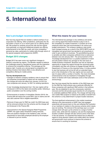# **5. International tax**

#### **Ibec's pre-budget recommendations:**

Ibec has long argued that we needed a radical overhaul of our corporation tax offering. Other jurisdictions, particularly the UK, had stolen a march on us in recent years as our offering stood still. We pushed for certainty around the rate and the regime more generally; an improved intellectual property tax offering; enhancements to the R&D tax credit; and more competitive personal tax rates, particularly for mobile skills through reform of the special assignee relief programme (SARP).

#### **Budget 2015 changes:**

Budget 2015 has seen some very significant changes to Ireland's corporate tax regime. The Minister needed to balance the challenges posed by reputational issues with the imperative to enhance the competitive offering. This package got the balance right. It sends out a strong signal to prospective and existing investors that Ireland offers a very attractive and competitive offering for mobile activity.

#### **The key developments are:**

- Changes to Ireland's company residency rules to ensure that all companies incorporated in Ireland are tax resident here: this change will come into effect from January 1st 2015 for new companies and January 1st 2021 for existing operations.
- A new 'knowledge development box': this new regime will be introduced in 2016 at the latest and possibly earlier, following a public consultation over the coming months.
- Enhancements to taxation of intangibles (Section 291A): the Finance Bill will reduce the current 80% cap on claims and will also add customer lists to eligible expenditure.
- Removal of base year for R&D tax credit: the 2003 base year will be removed entirely from the scheme and the change will be introduced in the Finance Bill.
- Improvements to the Special Assignee Relief Programme (SARP): the upper salary threshold is being removed; there are positive changes to the residency rules; and the requirement to have been employed abroad by the employer is reduced to just six months.

#### **What this means for your business:**

The international tax package is very ambitious and sends out a strong signal that Ireland intends to play to win in the competition for mobile investment. It contains all of the measures which Ibec had recommended in its various prebudget submissions. The company residency rules would have changed anyway as a result of the OECD BEPS work on intangibles and government has decided to act proactively in order to give certainty to business. The grandfathering period is sensible and offers companies sufficient time to restructure between now and January 2021. The announcement of the 'knowledge development box' is a positive statement of intent and will position Ireland very strongly for the next wave of mobile business investment. Business now has an important opportunity to shape this regime through the upcoming public consultation and Ibec will continue to engage strongly with the Department of Finance on this important issue. It is also positive to see that business will not be left with an extended hiatus prior to the introduction of the new regime and we could well see it in place within a number of months. The more immediate enhancements to the tax treatment of intangibles through reform of Section 291A also addresses some of that scheme's shortcomings.

Ibec has long argued that the retention of the 2003 base year for the R&D tax credit scheme was a particular difficultly for those companies with significant R&D activity in that arbitrary year. We are delighted to see this unnecessary restriction removed and this will provide equal incentive for all companies to undertake additional R&D activity. The change will help bring new mobile R&D projects to Ireland as the ability to benefit from the scheme is a key determinant in project location decisions.

The final significant enhancement in the mobile investment offering is the improvements to SARP. Ibec had engaged extensively with government on this and reflected the frustration of our members in relation to the previous scheme which clearly was not working. The removal of the earnings cap is a crucial change which will open up the scheme to a range of further senior roles, while both the residency rule and the employment duration condition changes will also remove some of the flaws in the old scheme. It is essential that Ireland has an effective regime to bring decision makers and mobile talent into Ireland and government must continue to improve this scheme to ensure that it is working for business.